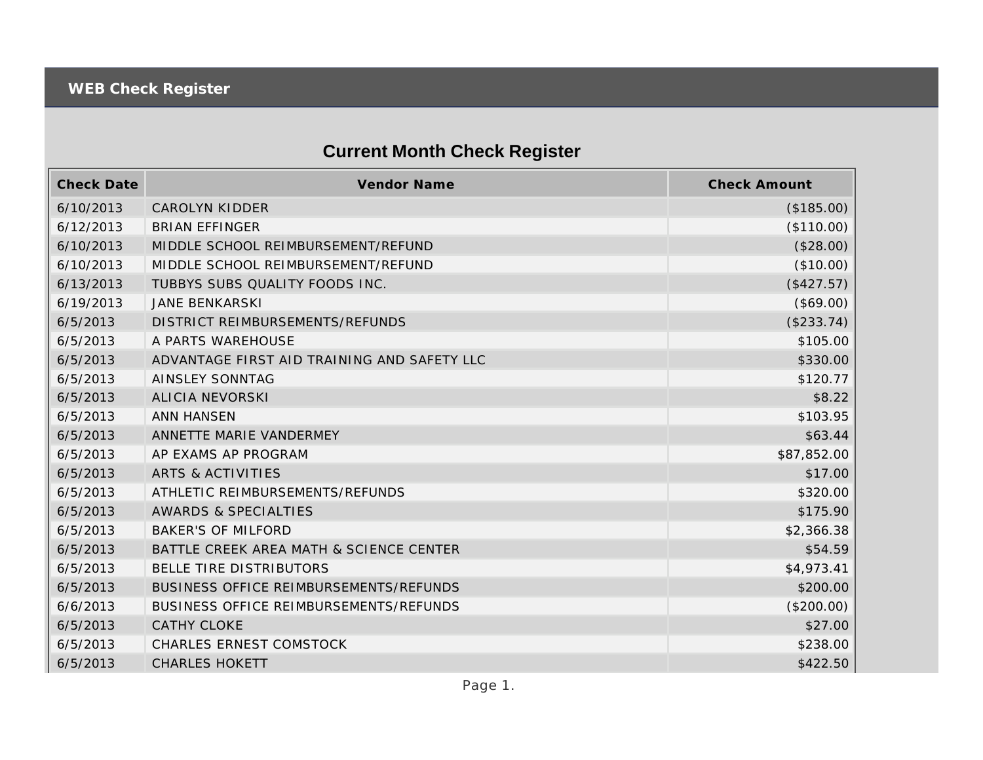## **Current Month Check Register**

| <b>Check Date</b> | <b>Vendor Name</b>                          | <b>Check Amount</b> |
|-------------------|---------------------------------------------|---------------------|
| 6/10/2013         | <b>CAROLYN KIDDER</b>                       | (\$185.00)          |
| 6/12/2013         | <b>BRIAN EFFINGER</b>                       | (\$110.00)          |
| 6/10/2013         | MIDDLE SCHOOL REIMBURSEMENT/REFUND          | (\$28.00)           |
| 6/10/2013         | MIDDLE SCHOOL REIMBURSEMENT/REFUND          | (\$10.00)           |
| 6/13/2013         | TUBBYS SUBS QUALITY FOODS INC.              | (\$427.57)          |
| 6/19/2013         | <b>JANE BENKARSKI</b>                       | (\$69.00)           |
| 6/5/2013          | DISTRICT REIMBURSEMENTS/REFUNDS             | (\$233.74)          |
| 6/5/2013          | A PARTS WAREHOUSE                           | \$105.00            |
| 6/5/2013          | ADVANTAGE FIRST AID TRAINING AND SAFETY LLC | \$330.00            |
| 6/5/2013          | <b>AINSLEY SONNTAG</b>                      | \$120.77            |
| 6/5/2013          | <b>ALICIA NEVORSKI</b>                      | \$8.22              |
| 6/5/2013          | <b>ANN HANSEN</b>                           | \$103.95            |
| 6/5/2013          | ANNETTE MARIE VANDERMEY                     | \$63.44             |
| 6/5/2013          | AP EXAMS AP PROGRAM                         | \$87,852.00         |
| 6/5/2013          | <b>ARTS &amp; ACTIVITIES</b>                | \$17.00             |
| 6/5/2013          | ATHLETIC REIMBURSEMENTS/REFUNDS             | \$320.00            |
| 6/5/2013          | <b>AWARDS &amp; SPECIALTIES</b>             | \$175.90            |
| 6/5/2013          | <b>BAKER'S OF MILFORD</b>                   | \$2,366.38          |
| 6/5/2013          | BATTLE CREEK AREA MATH & SCIENCE CENTER     | \$54.59             |
| 6/5/2013          | BELLE TIRE DISTRIBUTORS                     | \$4,973.41          |
| 6/5/2013          | BUSINESS OFFICE REIMBURSEMENTS/REFUNDS      | \$200.00            |
| 6/6/2013          | BUSINESS OFFICE REIMBURSEMENTS/REFUNDS      | (\$200.00)          |
| 6/5/2013          | <b>CATHY CLOKE</b>                          | \$27.00             |
| 6/5/2013          | <b>CHARLES ERNEST COMSTOCK</b>              | \$238.00            |
| 6/5/2013          | <b>CHARLES HOKETT</b>                       | \$422.50            |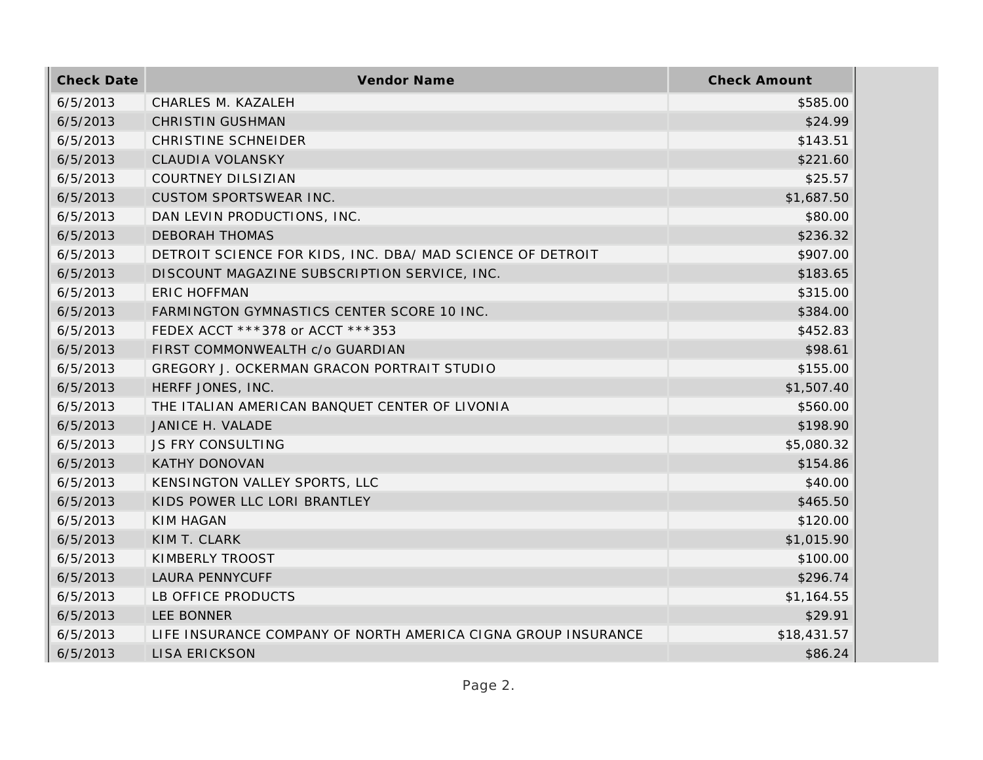| <b>Check Date</b> | Vendor Name                                                   | <b>Check Amount</b> |
|-------------------|---------------------------------------------------------------|---------------------|
| 6/5/2013          | CHARLES M. KAZALEH                                            | \$585.00            |
| 6/5/2013          | <b>CHRISTIN GUSHMAN</b>                                       | \$24.99             |
| 6/5/2013          | <b>CHRISTINE SCHNEIDER</b>                                    | \$143.51            |
| 6/5/2013          | CLAUDIA VOLANSKY                                              | \$221.60            |
| 6/5/2013          | <b>COURTNEY DILSIZIAN</b>                                     | \$25.57             |
| 6/5/2013          | CUSTOM SPORTSWEAR INC.                                        | \$1,687.50          |
| 6/5/2013          | DAN LEVIN PRODUCTIONS, INC.                                   | \$80.00             |
| 6/5/2013          | <b>DEBORAH THOMAS</b>                                         | \$236.32            |
| 6/5/2013          | DETROIT SCIENCE FOR KIDS, INC. DBA/ MAD SCIENCE OF DETROIT    | \$907.00            |
| 6/5/2013          | DISCOUNT MAGAZINE SUBSCRIPTION SERVICE, INC.                  | \$183.65            |
| 6/5/2013          | <b>ERIC HOFFMAN</b>                                           | \$315.00            |
| 6/5/2013          | FARMINGTON GYMNASTICS CENTER SCORE 10 INC.                    | \$384.00            |
| 6/5/2013          | FEDEX ACCT ***378 or ACCT ***353                              | \$452.83            |
| 6/5/2013          | FIRST COMMONWEALTH c/o GUARDIAN                               | \$98.61             |
| 6/5/2013          | GREGORY J. OCKERMAN GRACON PORTRAIT STUDIO                    | \$155.00            |
| 6/5/2013          | HERFF JONES, INC.                                             | \$1,507.40          |
| 6/5/2013          | THE ITALIAN AMERICAN BANQUET CENTER OF LIVONIA                | \$560.00            |
| 6/5/2013          | JANICE H. VALADE                                              | \$198.90            |
| 6/5/2013          | <b>JS FRY CONSULTING</b>                                      | \$5,080.32          |
| 6/5/2013          | <b>KATHY DONOVAN</b>                                          | \$154.86            |
| 6/5/2013          | KENSINGTON VALLEY SPORTS, LLC                                 | \$40.00             |
| 6/5/2013          | KIDS POWER LLC LORI BRANTLEY                                  | \$465.50            |
| 6/5/2013          | <b>KIM HAGAN</b>                                              | \$120.00            |
| 6/5/2013          | KIM T. CLARK                                                  | \$1,015.90          |
| 6/5/2013          | KIMBERLY TROOST                                               | \$100.00            |
| 6/5/2013          | <b>LAURA PENNYCUFF</b>                                        | \$296.74            |
| 6/5/2013          | LB OFFICE PRODUCTS                                            | \$1,164.55          |
| 6/5/2013          | <b>LEE BONNER</b>                                             | \$29.91             |
| 6/5/2013          | LIFE INSURANCE COMPANY OF NORTH AMERICA CIGNA GROUP INSURANCE | \$18,431.57         |
| 6/5/2013          | <b>LISA ERICKSON</b>                                          | \$86.24             |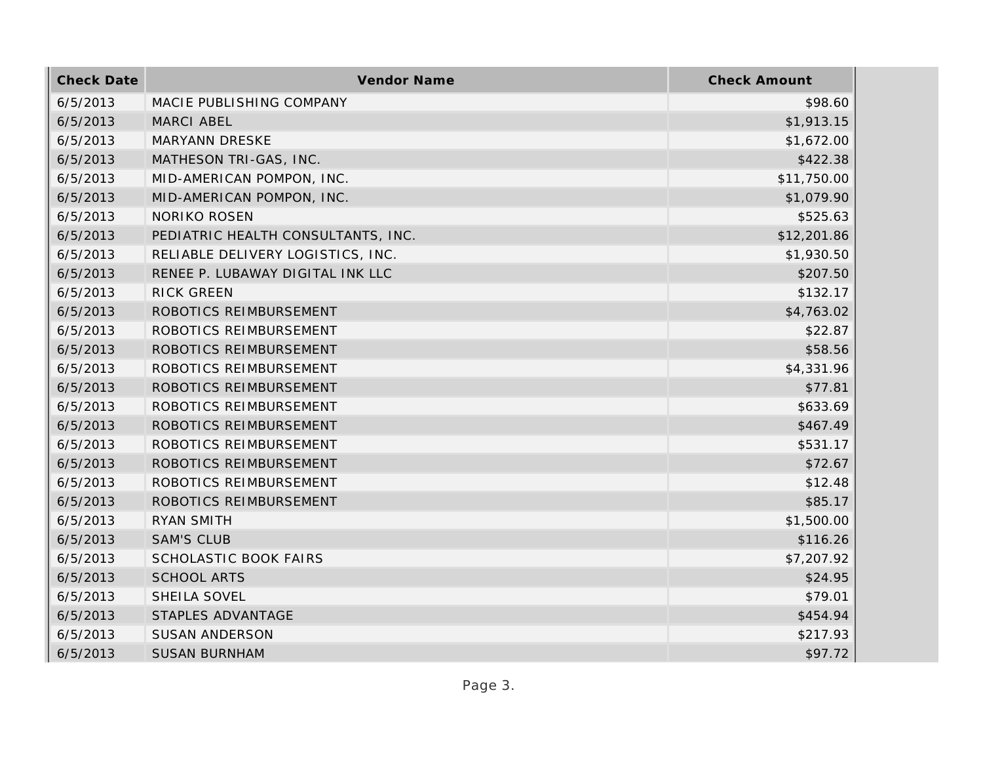| <b>Check Date</b> | Vendor Name                        | <b>Check Amount</b> |
|-------------------|------------------------------------|---------------------|
| 6/5/2013          | MACIE PUBLISHING COMPANY           | \$98.60             |
| 6/5/2013          | MARCI ABEL                         | \$1,913.15          |
| 6/5/2013          | MARYANN DRESKE                     | \$1,672.00          |
| 6/5/2013          | MATHESON TRI-GAS, INC.             | \$422.38            |
| 6/5/2013          | MID-AMERICAN POMPON, INC.          | \$11,750.00         |
| 6/5/2013          | MID-AMERICAN POMPON, INC.          | \$1,079.90          |
| 6/5/2013          | <b>NORIKO ROSEN</b>                | \$525.63            |
| 6/5/2013          | PEDIATRIC HEALTH CONSULTANTS, INC. | \$12,201.86         |
| 6/5/2013          | RELIABLE DELIVERY LOGISTICS, INC.  | \$1,930.50          |
| 6/5/2013          | RENEE P. LUBAWAY DIGITAL INK LLC   | \$207.50            |
| 6/5/2013          | <b>RICK GREEN</b>                  | \$132.17            |
| 6/5/2013          | ROBOTICS REIMBURSEMENT             | \$4,763.02          |
| 6/5/2013          | ROBOTICS REIMBURSEMENT             | \$22.87             |
| 6/5/2013          | ROBOTICS REIMBURSEMENT             | \$58.56             |
| 6/5/2013          | ROBOTICS REIMBURSEMENT             | \$4,331.96          |
| 6/5/2013          | ROBOTICS REIMBURSEMENT             | \$77.81             |
| 6/5/2013          | ROBOTICS REIMBURSEMENT             | \$633.69            |
| 6/5/2013          | ROBOTICS REIMBURSEMENT             | \$467.49            |
| 6/5/2013          | ROBOTICS REIMBURSEMENT             | \$531.17            |
| 6/5/2013          | ROBOTICS REIMBURSEMENT             | \$72.67             |
| 6/5/2013          | ROBOTICS REIMBURSEMENT             | \$12.48             |
| 6/5/2013          | ROBOTICS REIMBURSEMENT             | \$85.17             |
| 6/5/2013          | <b>RYAN SMITH</b>                  | \$1,500.00          |
| 6/5/2013          | <b>SAM'S CLUB</b>                  | \$116.26            |
| 6/5/2013          | <b>SCHOLASTIC BOOK FAIRS</b>       | \$7,207.92          |
| 6/5/2013          | <b>SCHOOL ARTS</b>                 | \$24.95             |
| 6/5/2013          | SHEILA SOVEL                       | \$79.01             |
| 6/5/2013          | STAPLES ADVANTAGE                  | \$454.94            |
| 6/5/2013          | <b>SUSAN ANDERSON</b>              | \$217.93            |
| 6/5/2013          | <b>SUSAN BURNHAM</b>               | \$97.72             |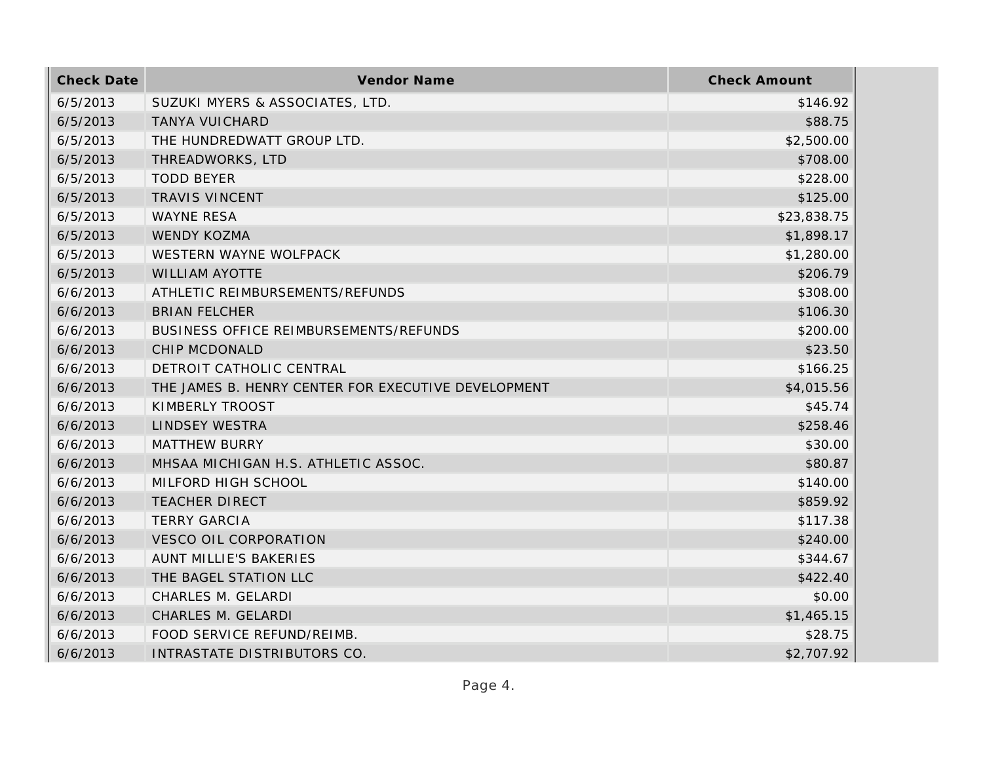| <b>Check Date</b> | Vendor Name                                         | <b>Check Amount</b> |
|-------------------|-----------------------------------------------------|---------------------|
| 6/5/2013          | SUZUKI MYERS & ASSOCIATES, LTD.                     | \$146.92            |
| 6/5/2013          | <b>TANYA VUICHARD</b>                               | \$88.75             |
| 6/5/2013          | THE HUNDREDWATT GROUP LTD.                          | \$2,500.00          |
| 6/5/2013          | THREADWORKS, LTD                                    | \$708.00            |
| 6/5/2013          | <b>TODD BEYER</b>                                   | \$228.00            |
| 6/5/2013          | <b>TRAVIS VINCENT</b>                               | \$125.00            |
| 6/5/2013          | <b>WAYNE RESA</b>                                   | \$23,838.75         |
| 6/5/2013          | <b>WENDY KOZMA</b>                                  | \$1,898.17          |
| 6/5/2013          | WESTERN WAYNE WOLFPACK                              | \$1,280.00          |
| 6/5/2013          | <b>WILLIAM AYOTTE</b>                               | \$206.79            |
| 6/6/2013          | ATHLETIC REIMBURSEMENTS/REFUNDS                     | \$308.00            |
| 6/6/2013          | <b>BRIAN FELCHER</b>                                | \$106.30            |
| 6/6/2013          | BUSINESS OFFICE REIMBURSEMENTS/REFUNDS              | \$200.00            |
| 6/6/2013          | <b>CHIP MCDONALD</b>                                | \$23.50             |
| 6/6/2013          | DETROIT CATHOLIC CENTRAL                            | \$166.25            |
| 6/6/2013          | THE JAMES B. HENRY CENTER FOR EXECUTIVE DEVELOPMENT | \$4,015.56          |
| 6/6/2013          | KIMBERLY TROOST                                     | \$45.74             |
| 6/6/2013          | <b>LINDSEY WESTRA</b>                               | \$258.46            |
| 6/6/2013          | <b>MATTHEW BURRY</b>                                | \$30.00             |
| 6/6/2013          | MHSAA MICHIGAN H.S. ATHLETIC ASSOC.                 | \$80.87             |
| 6/6/2013          | MILFORD HIGH SCHOOL                                 | \$140.00            |
| 6/6/2013          | <b>TEACHER DIRECT</b>                               | \$859.92            |
| 6/6/2013          | <b>TERRY GARCIA</b>                                 | \$117.38            |
| 6/6/2013          | <b>VESCO OIL CORPORATION</b>                        | \$240.00            |
| 6/6/2013          | AUNT MILLIE'S BAKERIES                              | \$344.67            |
| 6/6/2013          | THE BAGEL STATION LLC                               | \$422.40            |
| 6/6/2013          | CHARLES M. GELARDI                                  | \$0.00              |
| 6/6/2013          | CHARLES M. GELARDI                                  | \$1,465.15          |
| 6/6/2013          | FOOD SERVICE REFUND/REIMB.                          | \$28.75             |
| 6/6/2013          | INTRASTATE DISTRIBUTORS CO.                         | \$2,707.92          |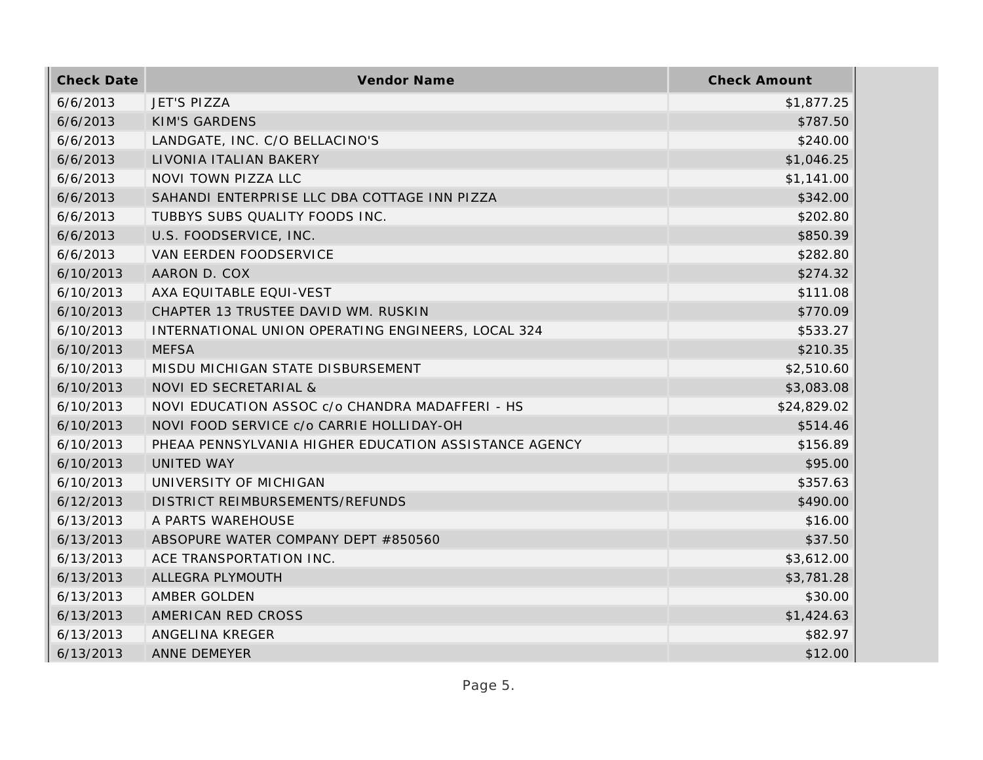| <b>Check Date</b> | Vendor Name                                           | <b>Check Amount</b> |
|-------------------|-------------------------------------------------------|---------------------|
| 6/6/2013          | <b>JET'S PIZZA</b>                                    | \$1,877.25          |
| 6/6/2013          | <b>KIM'S GARDENS</b>                                  | \$787.50            |
| 6/6/2013          | LANDGATE, INC. C/O BELLACINO'S                        | \$240.00            |
| 6/6/2013          | LIVONIA ITALIAN BAKERY                                | \$1,046.25          |
| 6/6/2013          | NOVI TOWN PIZZA LLC                                   | \$1,141.00          |
| 6/6/2013          | SAHANDI ENTERPRISE LLC DBA COTTAGE INN PIZZA          | \$342.00            |
| 6/6/2013          | TUBBYS SUBS QUALITY FOODS INC.                        | \$202.80            |
| 6/6/2013          | U.S. FOODSERVICE, INC.                                | \$850.39            |
| 6/6/2013          | VAN EERDEN FOODSERVICE                                | \$282.80            |
| 6/10/2013         | AARON D. COX                                          | \$274.32            |
| 6/10/2013         | AXA EQUITABLE EQUI-VEST                               | \$111.08            |
| 6/10/2013         | CHAPTER 13 TRUSTEE DAVID WM. RUSKIN                   | \$770.09            |
| 6/10/2013         | INTERNATIONAL UNION OPERATING ENGINEERS, LOCAL 324    | \$533.27            |
| 6/10/2013         | <b>MEFSA</b>                                          | \$210.35            |
| 6/10/2013         | MISDU MICHIGAN STATE DISBURSEMENT                     | \$2,510.60          |
| 6/10/2013         | NOVI ED SECRETARIAL &                                 | \$3,083.08          |
| 6/10/2013         | NOVI EDUCATION ASSOC c/o CHANDRA MADAFFERI - HS       | \$24,829.02         |
| 6/10/2013         | NOVI FOOD SERVICE c/o CARRIE HOLLIDAY-OH              | \$514.46            |
| 6/10/2013         | PHEAA PENNSYLVANIA HIGHER EDUCATION ASSISTANCE AGENCY | \$156.89            |
| 6/10/2013         | UNITED WAY                                            | \$95.00             |
| 6/10/2013         | UNIVERSITY OF MICHIGAN                                | \$357.63            |
| 6/12/2013         | DISTRICT REIMBURSEMENTS/REFUNDS                       | \$490.00            |
| 6/13/2013         | A PARTS WAREHOUSE                                     | \$16.00             |
| 6/13/2013         | ABSOPURE WATER COMPANY DEPT #850560                   | \$37.50             |
| 6/13/2013         | ACE TRANSPORTATION INC.                               | \$3,612.00          |
| 6/13/2013         | ALLEGRA PLYMOUTH                                      | \$3,781.28          |
| 6/13/2013         | AMBER GOLDEN                                          | \$30.00             |
| 6/13/2013         | AMERICAN RED CROSS                                    | \$1,424.63          |
| 6/13/2013         | ANGELINA KREGER                                       | \$82.97             |
| 6/13/2013         | <b>ANNE DEMEYER</b>                                   | \$12.00             |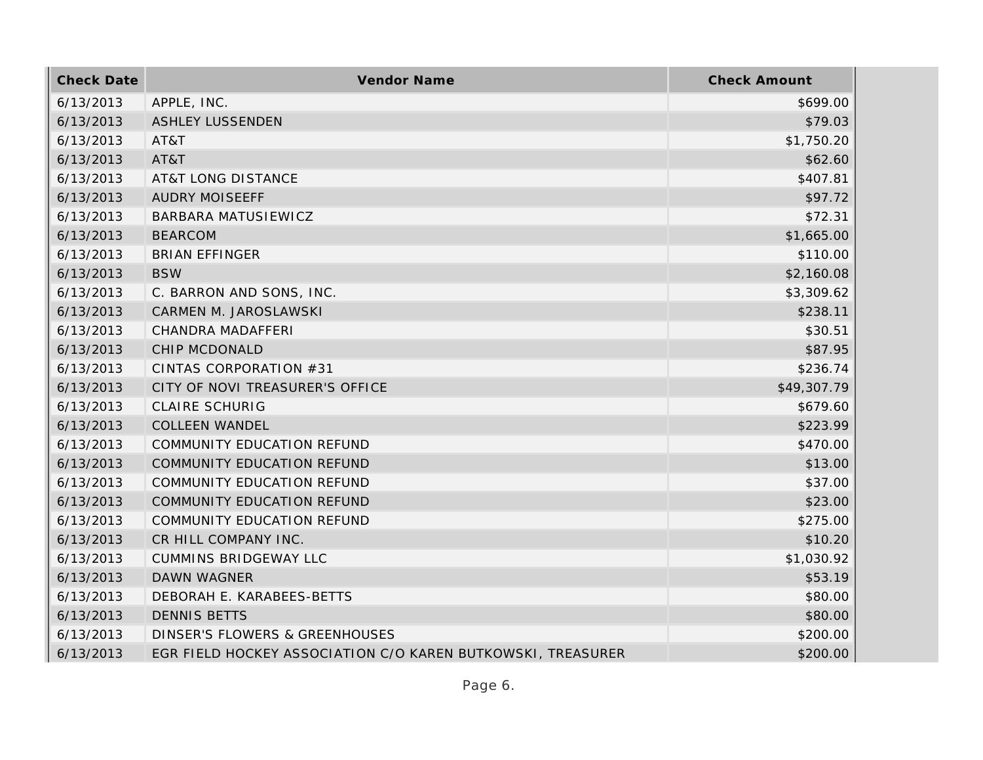| <b>Check Date</b> | Vendor Name                                                 | <b>Check Amount</b> |
|-------------------|-------------------------------------------------------------|---------------------|
| 6/13/2013         | APPLE, INC.                                                 | \$699.00            |
| 6/13/2013         | <b>ASHLEY LUSSENDEN</b>                                     | \$79.03             |
| 6/13/2013         | AT&T                                                        | \$1,750.20          |
| 6/13/2013         | AT&T                                                        | \$62.60             |
| 6/13/2013         | <b>AT&amp;T LONG DISTANCE</b>                               | \$407.81            |
| 6/13/2013         | <b>AUDRY MOISEEFF</b>                                       | \$97.72             |
| 6/13/2013         | BARBARA MATUSIEWICZ                                         | \$72.31             |
| 6/13/2013         | <b>BEARCOM</b>                                              | \$1,665.00          |
| 6/13/2013         | <b>BRIAN EFFINGER</b>                                       | \$110.00            |
| 6/13/2013         | <b>BSW</b>                                                  | \$2,160.08          |
| 6/13/2013         | C. BARRON AND SONS, INC.                                    | \$3,309.62          |
| 6/13/2013         | CARMEN M. JAROSLAWSKI                                       | \$238.11            |
| 6/13/2013         | CHANDRA MADAFFERI                                           | \$30.51             |
| 6/13/2013         | CHIP MCDONALD                                               | \$87.95             |
| 6/13/2013         | CINTAS CORPORATION #31                                      | \$236.74            |
| 6/13/2013         | CITY OF NOVI TREASURER'S OFFICE                             | \$49,307.79         |
| 6/13/2013         | <b>CLAIRE SCHURIG</b>                                       | \$679.60            |
| 6/13/2013         | <b>COLLEEN WANDEL</b>                                       | \$223.99            |
| 6/13/2013         | COMMUNITY EDUCATION REFUND                                  | \$470.00            |
| 6/13/2013         | COMMUNITY EDUCATION REFUND                                  | \$13.00             |
| 6/13/2013         | COMMUNITY EDUCATION REFUND                                  | \$37.00             |
| 6/13/2013         | COMMUNITY EDUCATION REFUND                                  | \$23.00             |
| 6/13/2013         | COMMUNITY EDUCATION REFUND                                  | \$275.00            |
| 6/13/2013         | CR HILL COMPANY INC.                                        | \$10.20             |
| 6/13/2013         | <b>CUMMINS BRIDGEWAY LLC</b>                                | \$1,030.92          |
| 6/13/2013         | <b>DAWN WAGNER</b>                                          | \$53.19             |
| 6/13/2013         | DEBORAH E. KARABEES-BETTS                                   | \$80.00             |
| 6/13/2013         | <b>DENNIS BETTS</b>                                         | \$80.00             |
| 6/13/2013         | DINSER'S FLOWERS & GREENHOUSES                              | \$200.00            |
| 6/13/2013         | EGR FIELD HOCKEY ASSOCIATION C/O KAREN BUTKOWSKI, TREASURER | \$200.00            |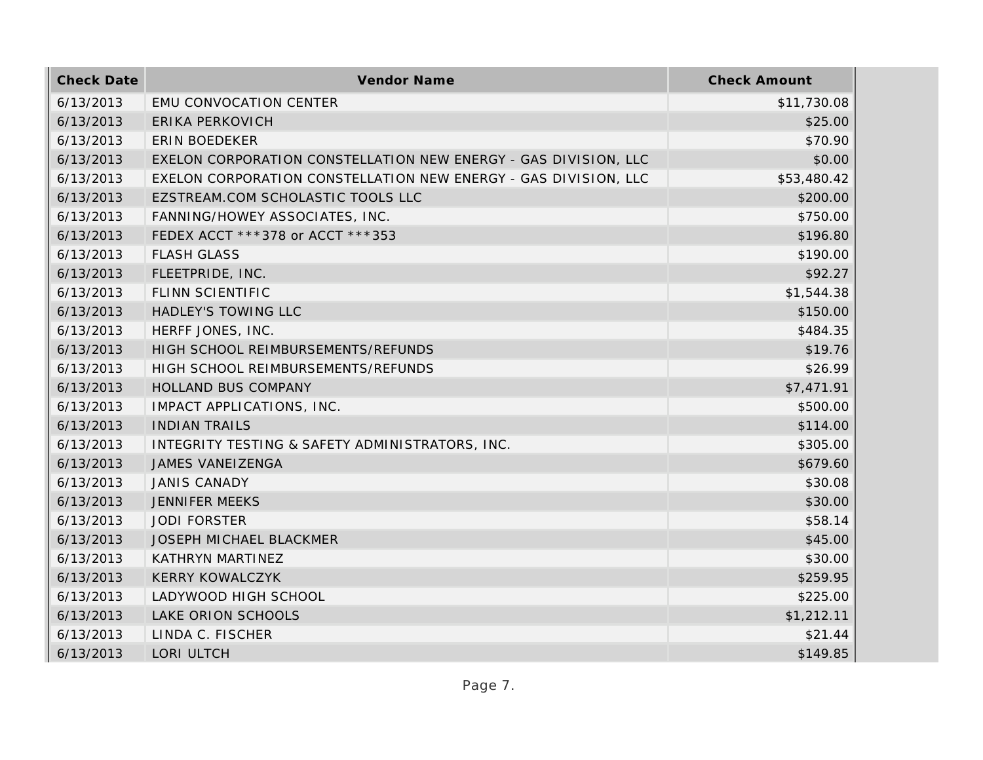| <b>Check Date</b> | Vendor Name                                                     | <b>Check Amount</b> |
|-------------------|-----------------------------------------------------------------|---------------------|
| 6/13/2013         | EMU CONVOCATION CENTER                                          | \$11,730.08         |
| 6/13/2013         | <b>ERIKA PERKOVICH</b>                                          | \$25.00             |
| 6/13/2013         | <b>ERIN BOEDEKER</b>                                            | \$70.90             |
| 6/13/2013         | EXELON CORPORATION CONSTELLATION NEW ENERGY - GAS DIVISION, LLC | \$0.00              |
| 6/13/2013         | EXELON CORPORATION CONSTELLATION NEW ENERGY - GAS DIVISION, LLC | \$53,480.42         |
| 6/13/2013         | EZSTREAM.COM SCHOLASTIC TOOLS LLC                               | \$200.00            |
| 6/13/2013         | FANNING/HOWEY ASSOCIATES, INC.                                  | \$750.00            |
| 6/13/2013         | FEDEX ACCT ***378 or ACCT ***353                                | \$196.80            |
| 6/13/2013         | <b>FLASH GLASS</b>                                              | \$190.00            |
| 6/13/2013         | FLEETPRIDE, INC.                                                | \$92.27             |
| 6/13/2013         | <b>FLINN SCIENTIFIC</b>                                         | \$1,544.38          |
| 6/13/2013         | HADLEY'S TOWING LLC                                             | \$150.00            |
| 6/13/2013         | HERFF JONES, INC.                                               | \$484.35            |
| 6/13/2013         | HIGH SCHOOL REIMBURSEMENTS/REFUNDS                              | \$19.76             |
| 6/13/2013         | HIGH SCHOOL REIMBURSEMENTS/REFUNDS                              | \$26.99             |
| 6/13/2013         | HOLLAND BUS COMPANY                                             | \$7,471.91          |
| 6/13/2013         | IMPACT APPLICATIONS, INC.                                       | \$500.00            |
| 6/13/2013         | <b>INDIAN TRAILS</b>                                            | \$114.00            |
| 6/13/2013         | INTEGRITY TESTING & SAFETY ADMINISTRATORS, INC.                 | \$305.00            |
| 6/13/2013         | JAMES VANEIZENGA                                                | \$679.60            |
| 6/13/2013         | <b>JANIS CANADY</b>                                             | \$30.08             |
| 6/13/2013         | <b>JENNIFER MEEKS</b>                                           | \$30.00             |
| 6/13/2013         | <b>JODI FORSTER</b>                                             | \$58.14             |
| 6/13/2013         | <b>JOSEPH MICHAEL BLACKMER</b>                                  | \$45.00             |
| 6/13/2013         | KATHRYN MARTINEZ                                                | \$30.00             |
| 6/13/2013         | <b>KERRY KOWALCZYK</b>                                          | \$259.95            |
| 6/13/2013         | LADYWOOD HIGH SCHOOL                                            | \$225.00            |
| 6/13/2013         | LAKE ORION SCHOOLS                                              | \$1,212.11          |
| 6/13/2013         | LINDA C. FISCHER                                                | \$21.44             |
| 6/13/2013         | LORI ULTCH                                                      | \$149.85            |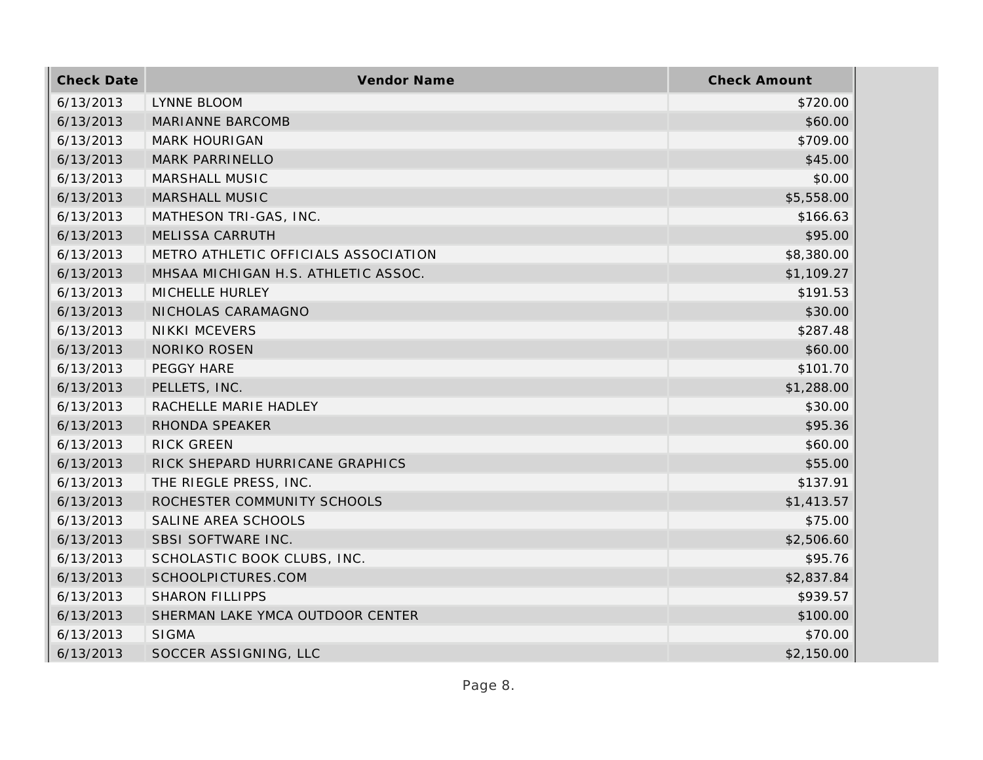| <b>Check Date</b> | <b>Vendor Name</b>                   | <b>Check Amount</b> |
|-------------------|--------------------------------------|---------------------|
| 6/13/2013         | LYNNE BLOOM                          | \$720.00            |
| 6/13/2013         | <b>MARIANNE BARCOMB</b>              | \$60.00             |
| 6/13/2013         | <b>MARK HOURIGAN</b>                 | \$709.00            |
| 6/13/2013         | MARK PARRINELLO                      | \$45.00             |
| 6/13/2013         | MARSHALL MUSIC                       | \$0.00              |
| 6/13/2013         | <b>MARSHALL MUSIC</b>                | \$5,558.00          |
| 6/13/2013         | MATHESON TRI-GAS, INC.               | \$166.63            |
| 6/13/2013         | <b>MELISSA CARRUTH</b>               | \$95.00             |
| 6/13/2013         | METRO ATHLETIC OFFICIALS ASSOCIATION | \$8,380.00          |
| 6/13/2013         | MHSAA MICHIGAN H.S. ATHLETIC ASSOC.  | \$1,109.27          |
| 6/13/2013         | MICHELLE HURLEY                      | \$191.53            |
| 6/13/2013         | NICHOLAS CARAMAGNO                   | \$30.00             |
| 6/13/2013         | <b>NIKKI MCEVERS</b>                 | \$287.48            |
| 6/13/2013         | <b>NORIKO ROSEN</b>                  | \$60.00             |
| 6/13/2013         | PEGGY HARE                           | \$101.70            |
| 6/13/2013         | PELLETS, INC.                        | \$1,288.00          |
| 6/13/2013         | RACHELLE MARIE HADLEY                | \$30.00             |
| 6/13/2013         | RHONDA SPEAKER                       | \$95.36             |
| 6/13/2013         | <b>RICK GREEN</b>                    | \$60.00             |
| 6/13/2013         | RICK SHEPARD HURRICANE GRAPHICS      | \$55.00             |
| 6/13/2013         | THE RIEGLE PRESS, INC.               | \$137.91            |
| 6/13/2013         | ROCHESTER COMMUNITY SCHOOLS          | \$1,413.57          |
| 6/13/2013         | SALINE AREA SCHOOLS                  | \$75.00             |
| 6/13/2013         | SBSI SOFTWARE INC.                   | \$2,506.60          |
| 6/13/2013         | SCHOLASTIC BOOK CLUBS, INC.          | \$95.76             |
| 6/13/2013         | SCHOOLPICTURES.COM                   | \$2,837.84          |
| 6/13/2013         | <b>SHARON FILLIPPS</b>               | \$939.57            |
| 6/13/2013         | SHERMAN LAKE YMCA OUTDOOR CENTER     | \$100.00            |
| 6/13/2013         | <b>SIGMA</b>                         | \$70.00             |
| 6/13/2013         | SOCCER ASSIGNING, LLC                | \$2,150.00          |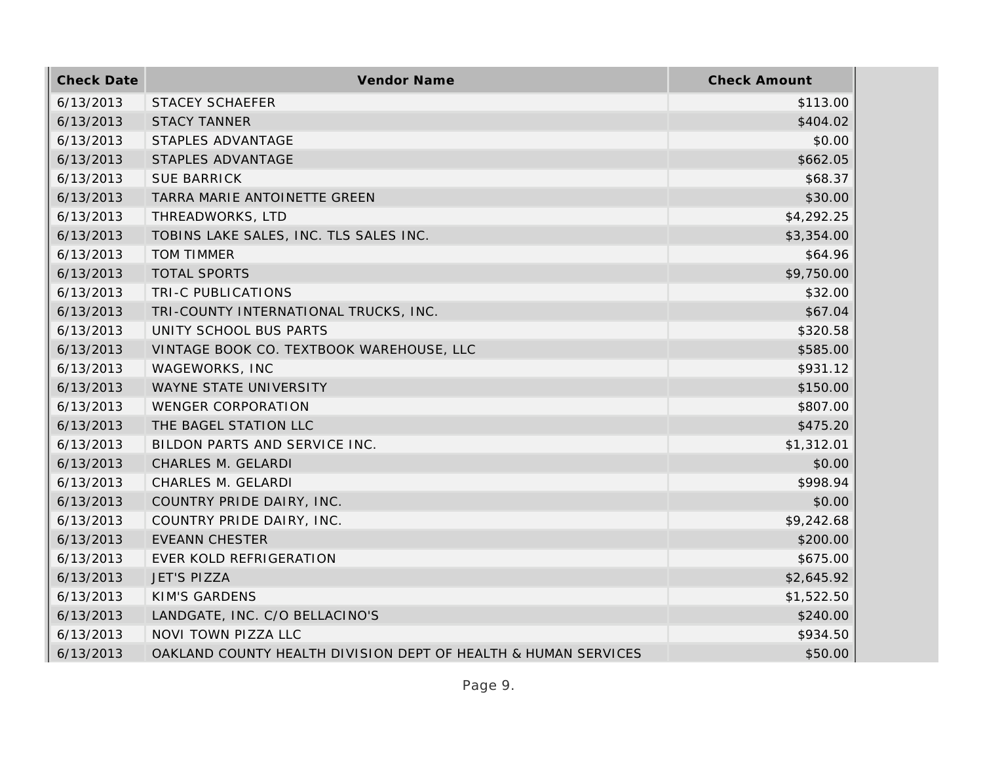| <b>Check Date</b> | Vendor Name                                                    | <b>Check Amount</b> |
|-------------------|----------------------------------------------------------------|---------------------|
| 6/13/2013         | <b>STACEY SCHAEFER</b>                                         | \$113.00            |
| 6/13/2013         | <b>STACY TANNER</b>                                            | \$404.02            |
| 6/13/2013         | STAPLES ADVANTAGE                                              | \$0.00              |
| 6/13/2013         | STAPLES ADVANTAGE                                              | \$662.05            |
| 6/13/2013         | <b>SUE BARRICK</b>                                             | \$68.37             |
| 6/13/2013         | TARRA MARIE ANTOINETTE GREEN                                   | \$30.00             |
| 6/13/2013         | THREADWORKS, LTD                                               | \$4,292.25          |
| 6/13/2013         | TOBINS LAKE SALES, INC. TLS SALES INC.                         | \$3,354.00          |
| 6/13/2013         | <b>TOM TIMMER</b>                                              | \$64.96             |
| 6/13/2013         | <b>TOTAL SPORTS</b>                                            | \$9,750.00          |
| 6/13/2013         | TRI-C PUBLICATIONS                                             | \$32.00             |
| 6/13/2013         | TRI-COUNTY INTERNATIONAL TRUCKS, INC.                          | \$67.04             |
| 6/13/2013         | UNITY SCHOOL BUS PARTS                                         | \$320.58            |
| 6/13/2013         | VINTAGE BOOK CO. TEXTBOOK WAREHOUSE, LLC                       | \$585.00            |
| 6/13/2013         | WAGEWORKS, INC                                                 | \$931.12            |
| 6/13/2013         | WAYNE STATE UNIVERSITY                                         | \$150.00            |
| 6/13/2013         | <b>WENGER CORPORATION</b>                                      | \$807.00            |
| 6/13/2013         | THE BAGEL STATION LLC                                          | \$475.20            |
| 6/13/2013         | BILDON PARTS AND SERVICE INC.                                  | \$1,312.01          |
| 6/13/2013         | CHARLES M. GELARDI                                             | \$0.00              |
| 6/13/2013         | CHARLES M. GELARDI                                             | \$998.94            |
| 6/13/2013         | COUNTRY PRIDE DAIRY, INC.                                      | \$0.00              |
| 6/13/2013         | COUNTRY PRIDE DAIRY, INC.                                      | \$9,242.68          |
| 6/13/2013         | <b>EVEANN CHESTER</b>                                          | \$200.00            |
| 6/13/2013         | EVER KOLD REFRIGERATION                                        | \$675.00            |
| 6/13/2013         | <b>JET'S PIZZA</b>                                             | \$2,645.92          |
| 6/13/2013         | <b>KIM'S GARDENS</b>                                           | \$1,522.50          |
| 6/13/2013         | LANDGATE, INC. C/O BELLACINO'S                                 | \$240.00            |
| 6/13/2013         | NOVI TOWN PIZZA LLC                                            | \$934.50            |
| 6/13/2013         | OAKLAND COUNTY HEALTH DIVISION DEPT OF HEALTH & HUMAN SERVICES | \$50.00             |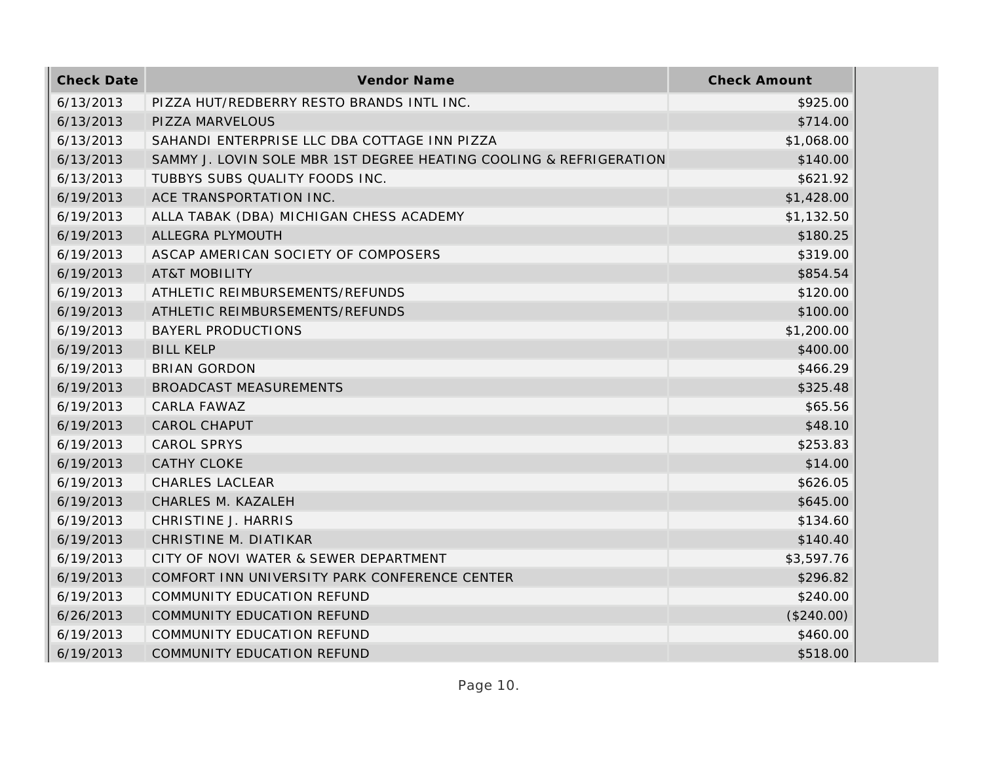| <b>Check Date</b> | Vendor Name                                                        | <b>Check Amount</b> |
|-------------------|--------------------------------------------------------------------|---------------------|
| 6/13/2013         | PIZZA HUT/REDBERRY RESTO BRANDS INTL INC.                          | \$925.00            |
| 6/13/2013         | PIZZA MARVELOUS                                                    | \$714.00            |
| 6/13/2013         | SAHANDI ENTERPRISE LLC DBA COTTAGE INN PIZZA                       | \$1,068.00          |
| 6/13/2013         | SAMMY J. LOVIN SOLE MBR 1ST DEGREE HEATING COOLING & REFRIGERATION | \$140.00            |
| 6/13/2013         | TUBBYS SUBS QUALITY FOODS INC.                                     | \$621.92            |
| 6/19/2013         | ACE TRANSPORTATION INC.                                            | \$1,428.00          |
| 6/19/2013         | ALLA TABAK (DBA) MICHIGAN CHESS ACADEMY                            | \$1,132.50          |
| 6/19/2013         | ALLEGRA PLYMOUTH                                                   | \$180.25            |
| 6/19/2013         | ASCAP AMERICAN SOCIETY OF COMPOSERS                                | \$319.00            |
| 6/19/2013         | <b>AT&amp;T MOBILITY</b>                                           | \$854.54            |
| 6/19/2013         | ATHLETIC REIMBURSEMENTS/REFUNDS                                    | \$120.00            |
| 6/19/2013         | ATHLETIC REIMBURSEMENTS/REFUNDS                                    | \$100.00            |
| 6/19/2013         | <b>BAYERL PRODUCTIONS</b>                                          | \$1,200.00          |
| 6/19/2013         | <b>BILL KELP</b>                                                   | \$400.00            |
| 6/19/2013         | <b>BRIAN GORDON</b>                                                | \$466.29            |
| 6/19/2013         | <b>BROADCAST MEASUREMENTS</b>                                      | \$325.48            |
| 6/19/2013         | CARLA FAWAZ                                                        | \$65.56             |
| 6/19/2013         | <b>CAROL CHAPUT</b>                                                | \$48.10             |
| 6/19/2013         | <b>CAROL SPRYS</b>                                                 | \$253.83            |
| 6/19/2013         | <b>CATHY CLOKE</b>                                                 | \$14.00             |
| 6/19/2013         | <b>CHARLES LACLEAR</b>                                             | \$626.05            |
| 6/19/2013         | CHARLES M. KAZALEH                                                 | \$645.00            |
| 6/19/2013         | CHRISTINE J. HARRIS                                                | \$134.60            |
| 6/19/2013         | CHRISTINE M. DIATIKAR                                              | \$140.40            |
| 6/19/2013         | CITY OF NOVI WATER & SEWER DEPARTMENT                              | \$3,597.76          |
| 6/19/2013         | COMFORT INN UNIVERSITY PARK CONFERENCE CENTER                      | \$296.82            |
| 6/19/2013         | COMMUNITY EDUCATION REFUND                                         | \$240.00            |
| 6/26/2013         | COMMUNITY EDUCATION REFUND                                         | (\$240.00)          |
| 6/19/2013         | COMMUNITY EDUCATION REFUND                                         | \$460.00            |
| 6/19/2013         | COMMUNITY EDUCATION REFUND                                         | \$518.00            |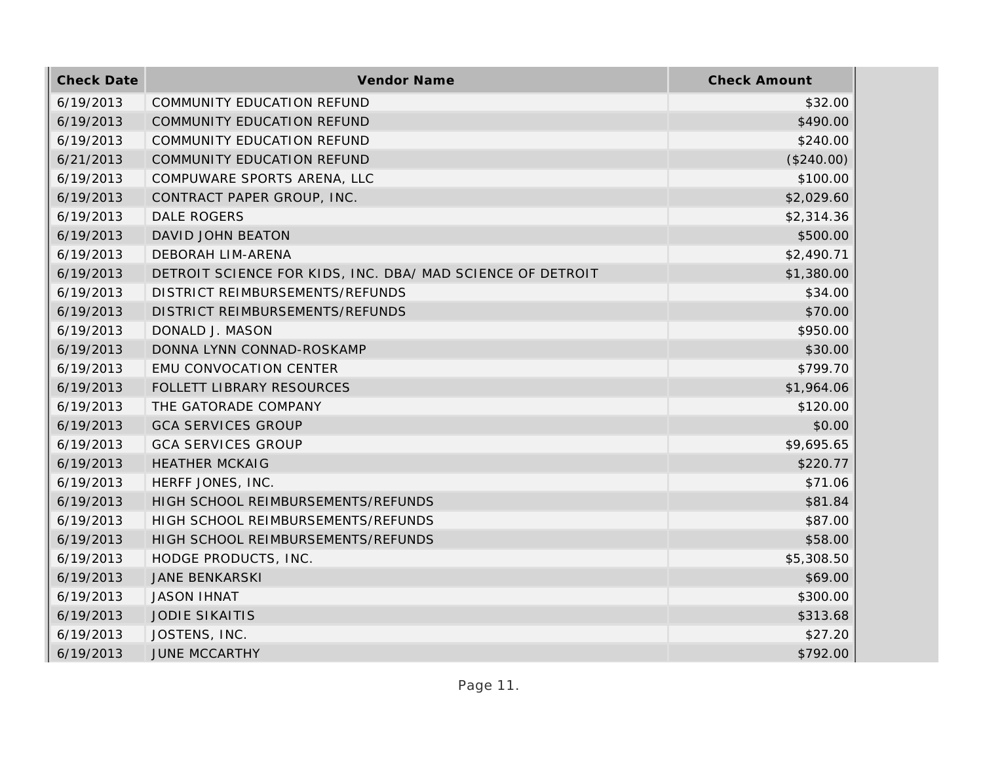| <b>Check Date</b> | Vendor Name                                                | <b>Check Amount</b> |
|-------------------|------------------------------------------------------------|---------------------|
| 6/19/2013         | <b>COMMUNITY EDUCATION REFUND</b>                          | \$32.00             |
| 6/19/2013         | COMMUNITY EDUCATION REFUND                                 | \$490.00            |
| 6/19/2013         | COMMUNITY EDUCATION REFUND                                 | \$240.00            |
| 6/21/2013         | COMMUNITY EDUCATION REFUND                                 | (\$240.00)          |
| 6/19/2013         | COMPUWARE SPORTS ARENA, LLC                                | \$100.00            |
| 6/19/2013         | CONTRACT PAPER GROUP, INC.                                 | \$2,029.60          |
| 6/19/2013         | <b>DALE ROGERS</b>                                         | \$2,314.36          |
| 6/19/2013         | DAVID JOHN BEATON                                          | \$500.00            |
| 6/19/2013         | DEBORAH LIM-ARENA                                          | \$2,490.71          |
| 6/19/2013         | DETROIT SCIENCE FOR KIDS, INC. DBA/ MAD SCIENCE OF DETROIT | \$1,380.00          |
| 6/19/2013         | DISTRICT REIMBURSEMENTS/REFUNDS                            | \$34.00             |
| 6/19/2013         | DISTRICT REIMBURSEMENTS/REFUNDS                            | \$70.00             |
| 6/19/2013         | DONALD J. MASON                                            | \$950.00            |
| 6/19/2013         | DONNA LYNN CONNAD-ROSKAMP                                  | \$30.00             |
| 6/19/2013         | EMU CONVOCATION CENTER                                     | \$799.70            |
| 6/19/2013         | FOLLETT LIBRARY RESOURCES                                  | \$1,964.06          |
| 6/19/2013         | THE GATORADE COMPANY                                       | \$120.00            |
| 6/19/2013         | <b>GCA SERVICES GROUP</b>                                  | \$0.00              |
| 6/19/2013         | <b>GCA SERVICES GROUP</b>                                  | \$9,695.65          |
| 6/19/2013         | <b>HEATHER MCKAIG</b>                                      | \$220.77            |
| 6/19/2013         | HERFF JONES, INC.                                          | \$71.06             |
| 6/19/2013         | HIGH SCHOOL REIMBURSEMENTS/REFUNDS                         | \$81.84             |
| 6/19/2013         | HIGH SCHOOL REIMBURSEMENTS/REFUNDS                         | \$87.00             |
| 6/19/2013         | HIGH SCHOOL REIMBURSEMENTS/REFUNDS                         | \$58.00             |
| 6/19/2013         | HODGE PRODUCTS, INC.                                       | \$5,308.50          |
| 6/19/2013         | <b>JANE BENKARSKI</b>                                      | \$69.00             |
| 6/19/2013         | <b>JASON IHNAT</b>                                         | \$300.00            |
| 6/19/2013         | <b>JODIE SIKAITIS</b>                                      | \$313.68            |
| 6/19/2013         | JOSTENS, INC.                                              | \$27.20             |
| 6/19/2013         | <b>JUNE MCCARTHY</b>                                       | \$792.00            |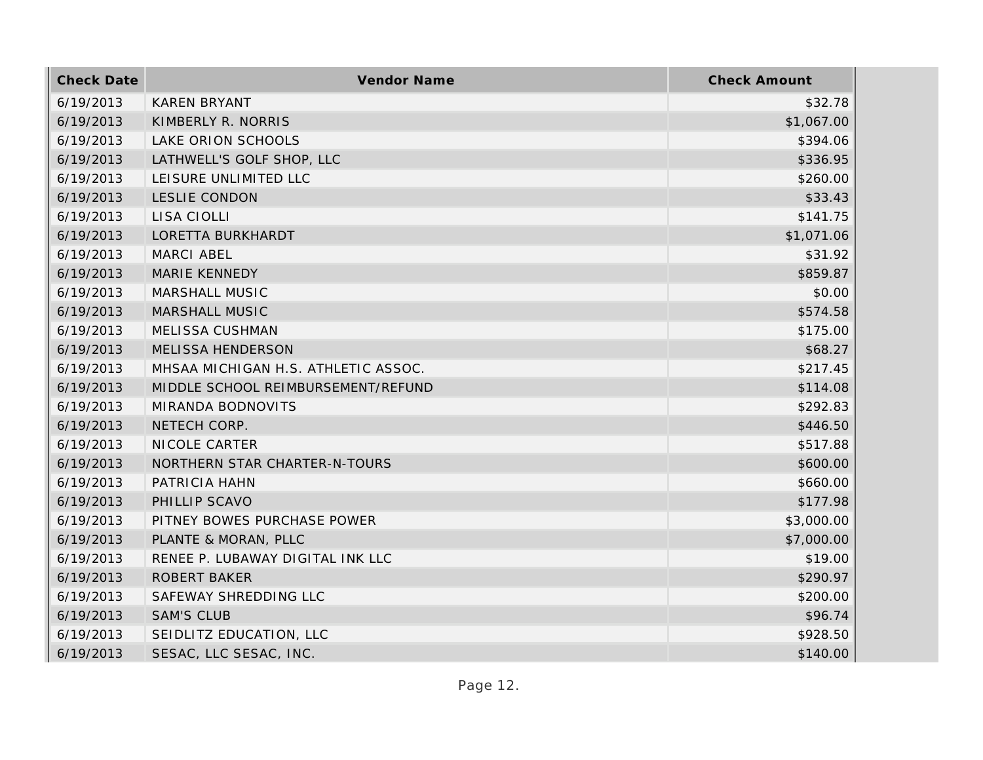| <b>Check Date</b> | <b>Vendor Name</b>                  | <b>Check Amount</b> |
|-------------------|-------------------------------------|---------------------|
| 6/19/2013         | <b>KAREN BRYANT</b>                 | \$32.78             |
| 6/19/2013         | KIMBERLY R. NORRIS                  | \$1,067.00          |
| 6/19/2013         | LAKE ORION SCHOOLS                  | \$394.06            |
| 6/19/2013         | LATHWELL'S GOLF SHOP, LLC           | \$336.95            |
| 6/19/2013         | LEISURE UNLIMITED LLC               | \$260.00            |
| 6/19/2013         | LESLIE CONDON                       | \$33.43             |
| 6/19/2013         | LISA CIOLLI                         | \$141.75            |
| 6/19/2013         | LORETTA BURKHARDT                   | \$1,071.06          |
| 6/19/2013         | MARCI ABEL                          | \$31.92             |
| 6/19/2013         | MARIE KENNEDY                       | \$859.87            |
| 6/19/2013         | MARSHALL MUSIC                      | \$0.00              |
| 6/19/2013         | <b>MARSHALL MUSIC</b>               | \$574.58            |
| 6/19/2013         | MELISSA CUSHMAN                     | \$175.00            |
| 6/19/2013         | MELISSA HENDERSON                   | \$68.27             |
| 6/19/2013         | MHSAA MICHIGAN H.S. ATHLETIC ASSOC. | \$217.45            |
| 6/19/2013         | MIDDLE SCHOOL REIMBURSEMENT/REFUND  | \$114.08            |
| 6/19/2013         | MIRANDA BODNOVITS                   | \$292.83            |
| 6/19/2013         | NETECH CORP.                        | \$446.50            |
| 6/19/2013         | NICOLE CARTER                       | \$517.88            |
| 6/19/2013         | NORTHERN STAR CHARTER-N-TOURS       | \$600.00            |
| 6/19/2013         | PATRICIA HAHN                       | \$660.00            |
| 6/19/2013         | PHILLIP SCAVO                       | \$177.98            |
| 6/19/2013         | PITNEY BOWES PURCHASE POWER         | \$3,000.00          |
| 6/19/2013         | PLANTE & MORAN, PLLC                | \$7,000.00          |
| 6/19/2013         | RENEE P. LUBAWAY DIGITAL INK LLC    | \$19.00             |
| 6/19/2013         | ROBERT BAKER                        | \$290.97            |
| 6/19/2013         | SAFEWAY SHREDDING LLC               | \$200.00            |
| 6/19/2013         | <b>SAM'S CLUB</b>                   | \$96.74             |
| 6/19/2013         | SEIDLITZ EDUCATION, LLC             | \$928.50            |
| 6/19/2013         | SESAC, LLC SESAC, INC.              | \$140.00            |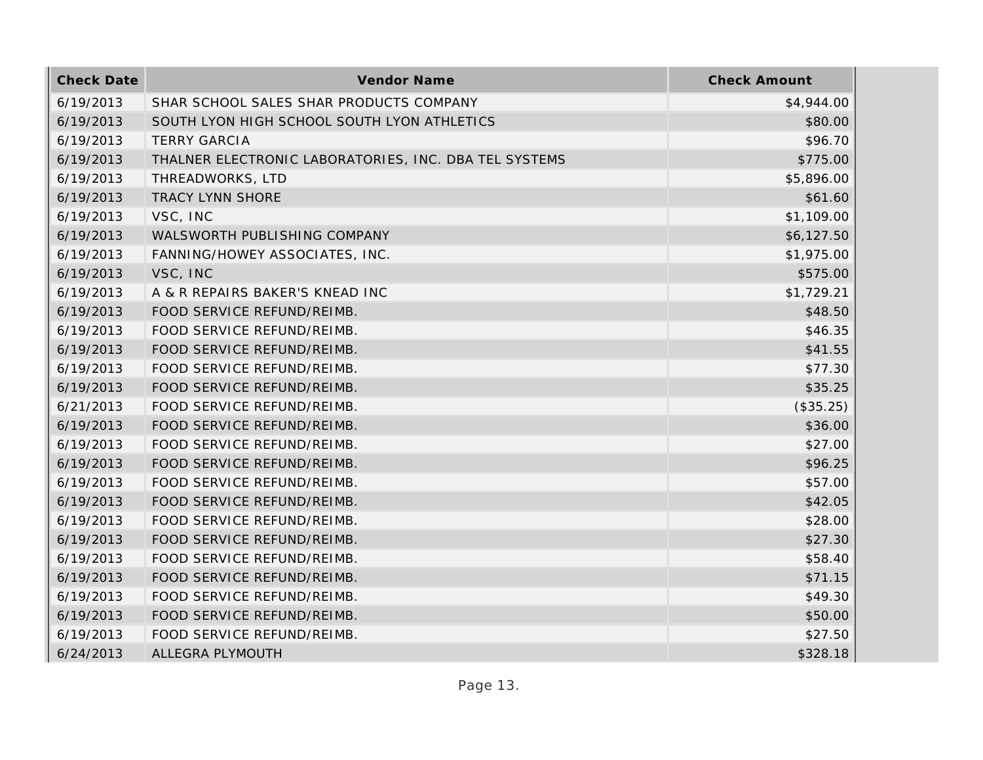| <b>Check Date</b> | Vendor Name                                           | <b>Check Amount</b> |
|-------------------|-------------------------------------------------------|---------------------|
| 6/19/2013         | SHAR SCHOOL SALES SHAR PRODUCTS COMPANY               | \$4,944.00          |
| 6/19/2013         | SOUTH LYON HIGH SCHOOL SOUTH LYON ATHLETICS           | \$80.00             |
| 6/19/2013         | <b>TERRY GARCIA</b>                                   | \$96.70             |
| 6/19/2013         | THALNER ELECTRONIC LABORATORIES, INC. DBA TEL SYSTEMS | \$775.00            |
| 6/19/2013         | THREADWORKS, LTD                                      | \$5,896.00          |
| 6/19/2013         | TRACY LYNN SHORE                                      | \$61.60             |
| 6/19/2013         | VSC, INC                                              | \$1,109.00          |
| 6/19/2013         | WALSWORTH PUBLISHING COMPANY                          | \$6,127.50          |
| 6/19/2013         | FANNING/HOWEY ASSOCIATES, INC.                        | \$1,975.00          |
| 6/19/2013         | VSC, INC                                              | \$575.00            |
| 6/19/2013         | A & R REPAIRS BAKER'S KNEAD INC                       | \$1,729.21          |
| 6/19/2013         | FOOD SERVICE REFUND/REIMB.                            | \$48.50             |
| 6/19/2013         | FOOD SERVICE REFUND/REIMB.                            | \$46.35             |
| 6/19/2013         | FOOD SERVICE REFUND/REIMB.                            | \$41.55             |
| 6/19/2013         | FOOD SERVICE REFUND/REIMB.                            | \$77.30             |
| 6/19/2013         | FOOD SERVICE REFUND/REIMB.                            | \$35.25             |
| 6/21/2013         | FOOD SERVICE REFUND/REIMB.                            | (\$35.25)           |
| 6/19/2013         | FOOD SERVICE REFUND/REIMB.                            | \$36.00             |
| 6/19/2013         | FOOD SERVICE REFUND/REIMB.                            | \$27.00             |
| 6/19/2013         | FOOD SERVICE REFUND/REIMB.                            | \$96.25             |
| 6/19/2013         | FOOD SERVICE REFUND/REIMB.                            | \$57.00             |
| 6/19/2013         | FOOD SERVICE REFUND/REIMB.                            | \$42.05             |
| 6/19/2013         | FOOD SERVICE REFUND/REIMB.                            | \$28.00             |
| 6/19/2013         | FOOD SERVICE REFUND/REIMB.                            | \$27.30             |
| 6/19/2013         | FOOD SERVICE REFUND/REIMB.                            | \$58.40             |
| 6/19/2013         | FOOD SERVICE REFUND/REIMB.                            | \$71.15             |
| 6/19/2013         | FOOD SERVICE REFUND/REIMB.                            | \$49.30             |
| 6/19/2013         | FOOD SERVICE REFUND/REIMB.                            | \$50.00             |
| 6/19/2013         | FOOD SERVICE REFUND/REIMB.                            | \$27.50             |
| 6/24/2013         | ALLEGRA PLYMOUTH                                      | \$328.18            |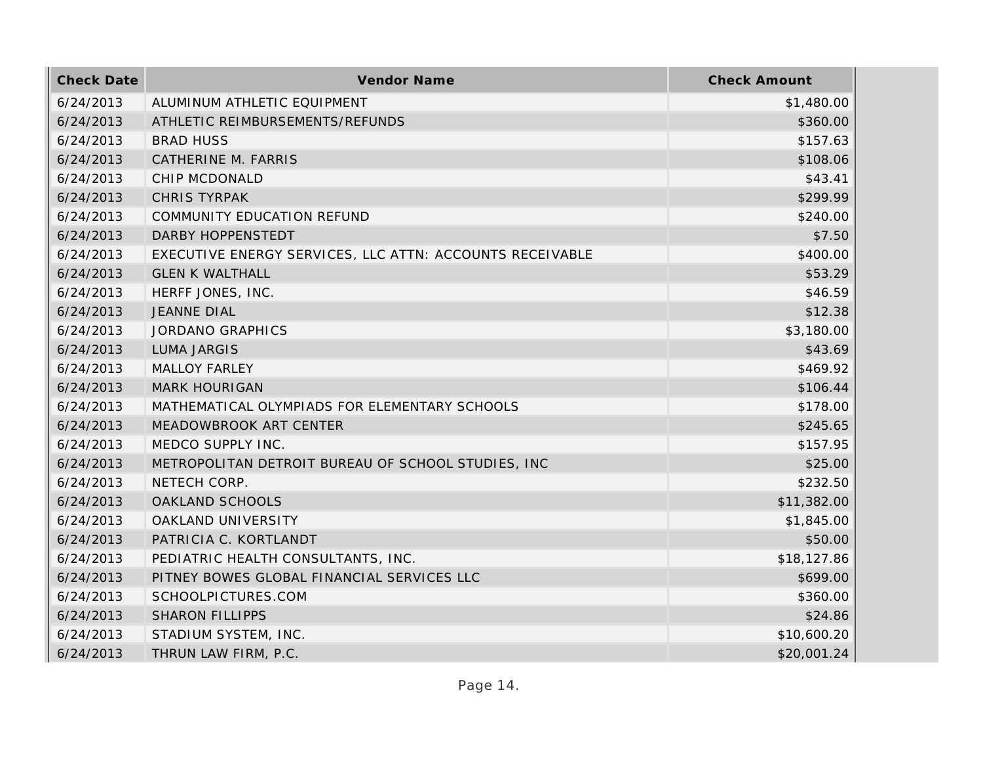| <b>Check Date</b> | Vendor Name                                              | <b>Check Amount</b> |
|-------------------|----------------------------------------------------------|---------------------|
| 6/24/2013         | ALUMINUM ATHLETIC EQUIPMENT                              | \$1,480.00          |
| 6/24/2013         | ATHLETIC REIMBURSEMENTS/REFUNDS                          | \$360.00            |
| 6/24/2013         | <b>BRAD HUSS</b>                                         | \$157.63            |
| 6/24/2013         | CATHERINE M. FARRIS                                      | \$108.06            |
| 6/24/2013         | CHIP MCDONALD                                            | \$43.41             |
| 6/24/2013         | <b>CHRIS TYRPAK</b>                                      | \$299.99            |
| 6/24/2013         | COMMUNITY EDUCATION REFUND                               | \$240.00            |
| 6/24/2013         | DARBY HOPPENSTEDT                                        | \$7.50              |
| 6/24/2013         | EXECUTIVE ENERGY SERVICES, LLC ATTN: ACCOUNTS RECEIVABLE | \$400.00            |
| 6/24/2013         | <b>GLEN K WALTHALL</b>                                   | \$53.29             |
| 6/24/2013         | HERFF JONES, INC.                                        | \$46.59             |
| 6/24/2013         | <b>JEANNE DIAL</b>                                       | \$12.38             |
| 6/24/2013         | <b>JORDANO GRAPHICS</b>                                  | \$3,180.00          |
| 6/24/2013         | <b>LUMA JARGIS</b>                                       | \$43.69             |
| 6/24/2013         | <b>MALLOY FARLEY</b>                                     | \$469.92            |
| 6/24/2013         | <b>MARK HOURIGAN</b>                                     | \$106.44            |
| 6/24/2013         | MATHEMATICAL OLYMPIADS FOR ELEMENTARY SCHOOLS            | \$178.00            |
| 6/24/2013         | MEADOWBROOK ART CENTER                                   | \$245.65            |
| 6/24/2013         | MEDCO SUPPLY INC.                                        | \$157.95            |
| 6/24/2013         | METROPOLITAN DETROIT BUREAU OF SCHOOL STUDIES, INC       | \$25.00             |
| 6/24/2013         | NETECH CORP.                                             | \$232.50            |
| 6/24/2013         | OAKLAND SCHOOLS                                          | \$11,382.00         |
| 6/24/2013         | OAKLAND UNIVERSITY                                       | \$1,845.00          |
| 6/24/2013         | PATRICIA C. KORTLANDT                                    | \$50.00             |
| 6/24/2013         | PEDIATRIC HEALTH CONSULTANTS, INC.                       | \$18,127.86         |
| 6/24/2013         | PITNEY BOWES GLOBAL FINANCIAL SERVICES LLC               | \$699.00            |
| 6/24/2013         | SCHOOLPICTURES.COM                                       | \$360.00            |
| 6/24/2013         | <b>SHARON FILLIPPS</b>                                   | \$24.86             |
| 6/24/2013         | STADIUM SYSTEM, INC.                                     | \$10,600.20         |
| 6/24/2013         | THRUN LAW FIRM, P.C.                                     | \$20,001.24         |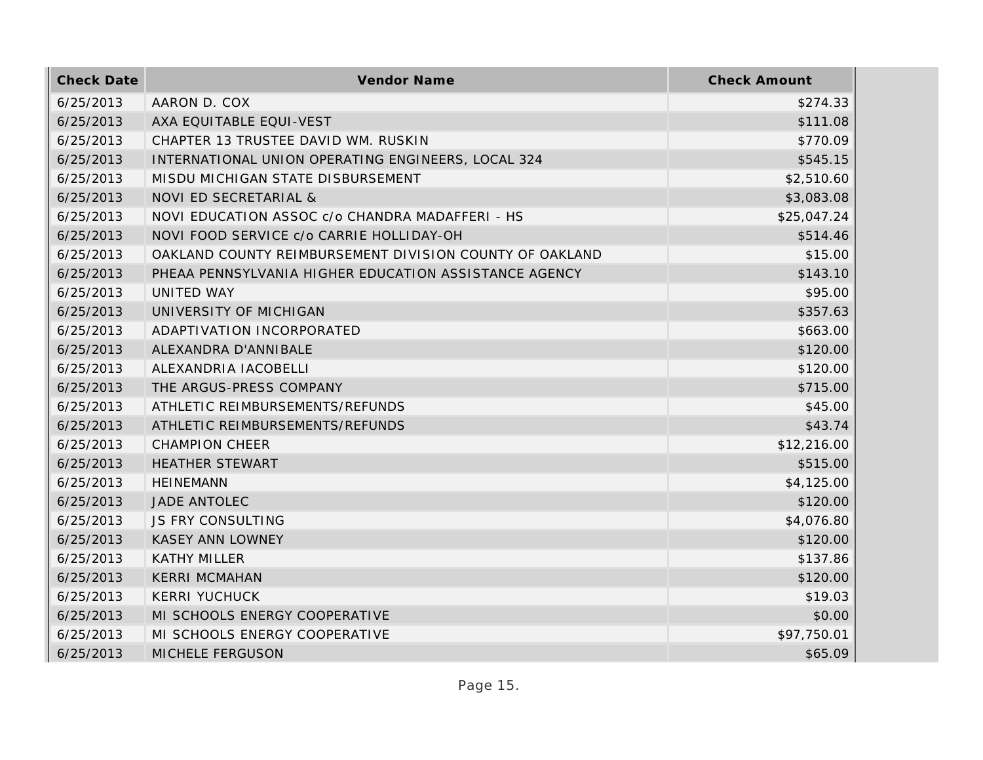| <b>Check Date</b> | Vendor Name                                             | <b>Check Amount</b> |
|-------------------|---------------------------------------------------------|---------------------|
| 6/25/2013         | AARON D. COX                                            | \$274.33            |
| 6/25/2013         | AXA EQUITABLE EQUI-VEST                                 | \$111.08            |
| 6/25/2013         | CHAPTER 13 TRUSTEE DAVID WM. RUSKIN                     | \$770.09            |
| 6/25/2013         | INTERNATIONAL UNION OPERATING ENGINEERS, LOCAL 324      | \$545.15            |
| 6/25/2013         | MISDU MICHIGAN STATE DISBURSEMENT                       | \$2,510.60          |
| 6/25/2013         | NOVI ED SECRETARIAL &                                   | \$3,083.08          |
| 6/25/2013         | NOVI EDUCATION ASSOC c/o CHANDRA MADAFFERI - HS         | \$25,047.24         |
| 6/25/2013         | NOVI FOOD SERVICE c/o CARRIE HOLLIDAY-OH                | \$514.46            |
| 6/25/2013         | OAKLAND COUNTY REIMBURSEMENT DIVISION COUNTY OF OAKLAND | \$15.00             |
| 6/25/2013         | PHEAA PENNSYLVANIA HIGHER EDUCATION ASSISTANCE AGENCY   | \$143.10            |
| 6/25/2013         | UNITED WAY                                              | \$95.00             |
| 6/25/2013         | UNIVERSITY OF MICHIGAN                                  | \$357.63            |
| 6/25/2013         | ADAPTIVATION INCORPORATED                               | \$663.00            |
| 6/25/2013         | ALEXANDRA D'ANNIBALE                                    | \$120.00            |
| 6/25/2013         | ALEXANDRIA IACOBELLI                                    | \$120.00            |
| 6/25/2013         | THE ARGUS-PRESS COMPANY                                 | \$715.00            |
| 6/25/2013         | ATHLETIC REIMBURSEMENTS/REFUNDS                         | \$45.00             |
| 6/25/2013         | ATHLETIC REIMBURSEMENTS/REFUNDS                         | \$43.74             |
| 6/25/2013         | <b>CHAMPION CHEER</b>                                   | \$12,216.00         |
| 6/25/2013         | <b>HEATHER STEWART</b>                                  | \$515.00            |
| 6/25/2013         | <b>HEINEMANN</b>                                        | \$4,125.00          |
| 6/25/2013         | JADE ANTOLEC                                            | \$120.00            |
| 6/25/2013         | <b>JS FRY CONSULTING</b>                                | \$4,076.80          |
| 6/25/2013         | <b>KASEY ANN LOWNEY</b>                                 | \$120.00            |
| 6/25/2013         | <b>KATHY MILLER</b>                                     | \$137.86            |
| 6/25/2013         | <b>KERRI MCMAHAN</b>                                    | \$120.00            |
| 6/25/2013         | <b>KERRI YUCHUCK</b>                                    | \$19.03             |
| 6/25/2013         | MI SCHOOLS ENERGY COOPERATIVE                           | \$0.00              |
| 6/25/2013         | MI SCHOOLS ENERGY COOPERATIVE                           | \$97,750.01         |
| 6/25/2013         | <b>MICHELE FERGUSON</b>                                 | \$65.09             |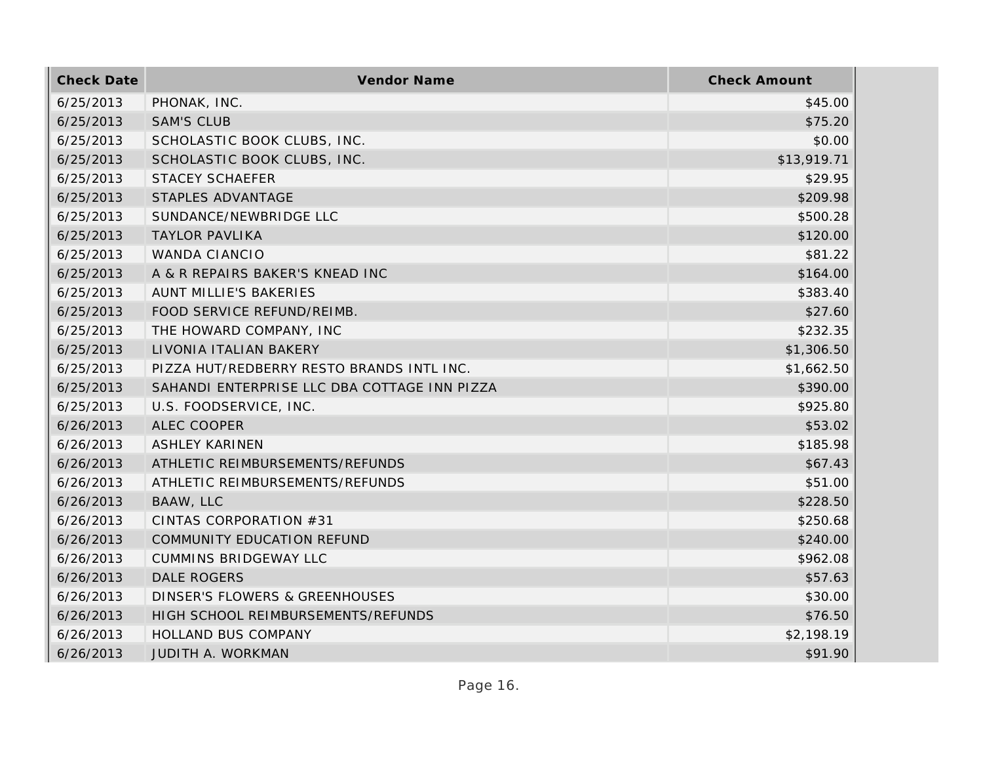| <b>Check Date</b> | Vendor Name                                  | <b>Check Amount</b> |
|-------------------|----------------------------------------------|---------------------|
| 6/25/2013         | PHONAK, INC.                                 | \$45.00             |
| 6/25/2013         | <b>SAM'S CLUB</b>                            | \$75.20             |
| 6/25/2013         | SCHOLASTIC BOOK CLUBS, INC.                  | \$0.00              |
| 6/25/2013         | SCHOLASTIC BOOK CLUBS, INC.                  | \$13,919.71         |
| 6/25/2013         | <b>STACEY SCHAEFER</b>                       | \$29.95             |
| 6/25/2013         | STAPLES ADVANTAGE                            | \$209.98            |
| 6/25/2013         | SUNDANCE/NEWBRIDGE LLC                       | \$500.28            |
| 6/25/2013         | <b>TAYLOR PAVLIKA</b>                        | \$120.00            |
| 6/25/2013         | <b>WANDA CIANCIO</b>                         | \$81.22             |
| 6/25/2013         | A & R REPAIRS BAKER'S KNEAD INC              | \$164.00            |
| 6/25/2013         | AUNT MILLIE'S BAKERIES                       | \$383.40            |
| 6/25/2013         | FOOD SERVICE REFUND/REIMB.                   | \$27.60             |
| 6/25/2013         | THE HOWARD COMPANY, INC                      | \$232.35            |
| 6/25/2013         | LIVONIA ITALIAN BAKERY                       | \$1,306.50          |
| 6/25/2013         | PIZZA HUT/REDBERRY RESTO BRANDS INTL INC.    | \$1,662.50          |
| 6/25/2013         | SAHANDI ENTERPRISE LLC DBA COTTAGE INN PIZZA | \$390.00            |
| 6/25/2013         | U.S. FOODSERVICE, INC.                       | \$925.80            |
| 6/26/2013         | ALEC COOPER                                  | \$53.02             |
| 6/26/2013         | <b>ASHLEY KARINEN</b>                        | \$185.98            |
| 6/26/2013         | ATHLETIC REIMBURSEMENTS/REFUNDS              | \$67.43             |
| 6/26/2013         | ATHLETIC REIMBURSEMENTS/REFUNDS              | \$51.00             |
| 6/26/2013         | BAAW, LLC                                    | \$228.50            |
| 6/26/2013         | CINTAS CORPORATION #31                       | \$250.68            |
| 6/26/2013         | COMMUNITY EDUCATION REFUND                   | \$240.00            |
| 6/26/2013         | <b>CUMMINS BRIDGEWAY LLC</b>                 | \$962.08            |
| 6/26/2013         | <b>DALE ROGERS</b>                           | \$57.63             |
| 6/26/2013         | <b>DINSER'S FLOWERS &amp; GREENHOUSES</b>    | \$30.00             |
| 6/26/2013         | HIGH SCHOOL REIMBURSEMENTS/REFUNDS           | \$76.50             |
| 6/26/2013         | HOLLAND BUS COMPANY                          | \$2,198.19          |
| 6/26/2013         | <b>JUDITH A. WORKMAN</b>                     | \$91.90             |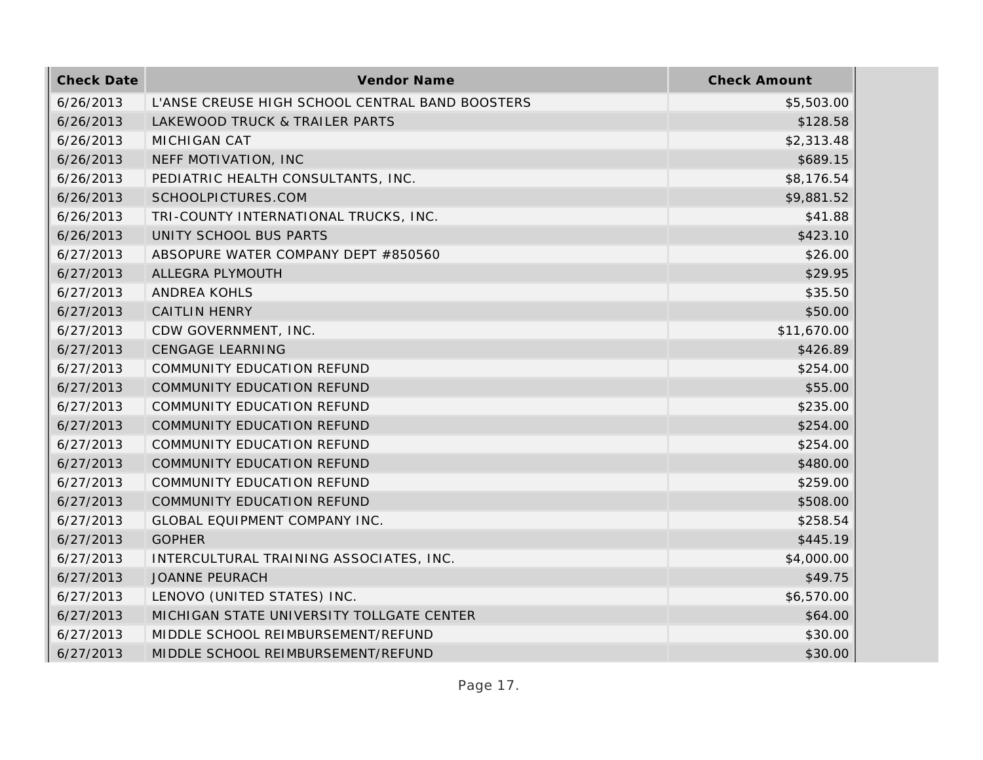| <b>Check Date</b> | Vendor Name                                     | <b>Check Amount</b> |
|-------------------|-------------------------------------------------|---------------------|
| 6/26/2013         | L'ANSE CREUSE HIGH SCHOOL CENTRAL BAND BOOSTERS | \$5,503.00          |
| 6/26/2013         | LAKEWOOD TRUCK & TRAILER PARTS                  | \$128.58            |
| 6/26/2013         | <b>MICHIGAN CAT</b>                             | \$2,313.48          |
| 6/26/2013         | NEFF MOTIVATION, INC                            | \$689.15            |
| 6/26/2013         | PEDIATRIC HEALTH CONSULTANTS, INC.              | \$8,176.54          |
| 6/26/2013         | SCHOOLPICTURES.COM                              | \$9,881.52          |
| 6/26/2013         | TRI-COUNTY INTERNATIONAL TRUCKS, INC.           | \$41.88             |
| 6/26/2013         | UNITY SCHOOL BUS PARTS                          | \$423.10            |
| 6/27/2013         | ABSOPURE WATER COMPANY DEPT #850560             | \$26.00             |
| 6/27/2013         | ALLEGRA PLYMOUTH                                | \$29.95             |
| 6/27/2013         | <b>ANDREA KOHLS</b>                             | \$35.50             |
| 6/27/2013         | <b>CAITLIN HENRY</b>                            | \$50.00             |
| 6/27/2013         | CDW GOVERNMENT, INC.                            | \$11,670.00         |
| 6/27/2013         | <b>CENGAGE LEARNING</b>                         | \$426.89            |
| 6/27/2013         | <b>COMMUNITY EDUCATION REFUND</b>               | \$254.00            |
| 6/27/2013         | COMMUNITY EDUCATION REFUND                      | \$55.00             |
| 6/27/2013         | COMMUNITY EDUCATION REFUND                      | \$235.00            |
| 6/27/2013         | COMMUNITY EDUCATION REFUND                      | \$254.00            |
| 6/27/2013         | COMMUNITY EDUCATION REFUND                      | \$254.00            |
| 6/27/2013         | COMMUNITY EDUCATION REFUND                      | \$480.00            |
| 6/27/2013         | COMMUNITY EDUCATION REFUND                      | \$259.00            |
| 6/27/2013         | COMMUNITY EDUCATION REFUND                      | \$508.00            |
| 6/27/2013         | GLOBAL EQUIPMENT COMPANY INC.                   | \$258.54            |
| 6/27/2013         | <b>GOPHER</b>                                   | \$445.19            |
| 6/27/2013         | INTERCULTURAL TRAINING ASSOCIATES, INC.         | \$4,000.00          |
| 6/27/2013         | <b>JOANNE PEURACH</b>                           | \$49.75             |
| 6/27/2013         | LENOVO (UNITED STATES) INC.                     | \$6,570.00          |
| 6/27/2013         | MICHIGAN STATE UNIVERSITY TOLLGATE CENTER       | \$64.00             |
| 6/27/2013         | MIDDLE SCHOOL REIMBURSEMENT/REFUND              | \$30.00             |
| 6/27/2013         | MIDDLE SCHOOL REIMBURSEMENT/REFUND              | \$30.00             |